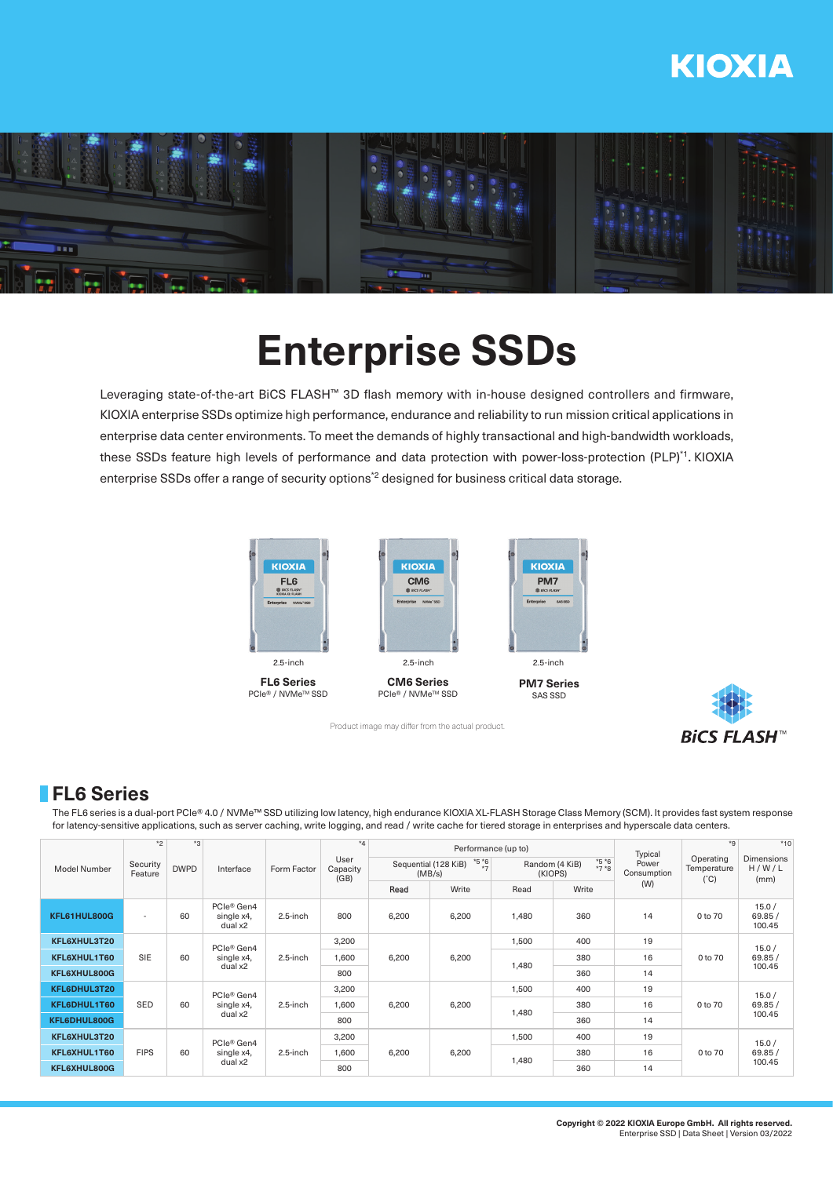# **KIOXIA**



# **Enterprise SSDs**

Leveraging state-of-the-art BiCS FLASH™ 3D flash memory with in-house designed controllers and firmware, KIOXIA enterprise SSDs optimize high performance, endurance and reliability to run mission critical applications in enterprise data center environments. To meet the demands of highly transactional and high-bandwidth workloads, these SSDs feature high levels of performance and data protection with power-loss-protection (PLP)\*1. KIOXIA enterprise SSDs offer a range of security options<sup>\*2</sup> designed for business critical data storage.



**FL6 Series** PCIe<sup>®</sup> / NVMe<sup>™</sup> SSD



PCIe<sup>®</sup> / NVMe<sup>™</sup> SSD



**PM7 Series** SAS SSD



## **FL6 Series**

The FL6 series is a dual-port PCIe® 4.0 / NVMe™ SSD utilizing low latency, high endurance KIOXIA XL-FLASH Storage Class Memory (SCM). It provides fast system response for latency-sensitive applications, such as server caching, write logging, and read / write cache for tiered storage in enterprises and hyperscale data centers.

| <b>Model Number</b> | $*2$<br>Security<br>Feature | $*_{3}$<br><b>DWPD</b> | Interface                                       | Form Factor | $*_{4}$<br>User<br>Capacity<br>(GB) |                                          | Performance (up to) |                                               | Typical | $*9$                 | $*10$                                     |                                     |
|---------------------|-----------------------------|------------------------|-------------------------------------------------|-------------|-------------------------------------|------------------------------------------|---------------------|-----------------------------------------------|---------|----------------------|-------------------------------------------|-------------------------------------|
|                     |                             |                        |                                                 |             |                                     | $*5*6$<br>Sequential (128 KiB)<br>(MB/s) |                     | $*5 *6$<br>*7 *8<br>Random (4 KiB)<br>(KIOPS) |         | Power<br>Consumption | Operating<br>Temperature<br>$(^{\circ}C)$ | Dimensions<br>H/W/L<br>(mm)         |
|                     |                             |                        |                                                 |             |                                     | Read                                     | Write               | Read                                          | Write   | (W)                  |                                           |                                     |
| KFL61HUL800G        | $\sim$                      | 60                     | PCIe <sup>®</sup> Gen4<br>single x4,<br>dual x2 | $2.5$ -inch | 800                                 | 6,200                                    | 6,200               | 1,480                                         | 360     | 14                   | 0 to 70                                   | 15.0/<br>69.85/<br>100.45           |
| KFL6XHUL3T20        |                             | 60                     | PCIe® Gen4<br>single x4,<br>dual x2             | 2.5-inch    | 3,200                               | 6,200                                    | 6,200               | 1,500                                         | 400     | 19<br>16             | 0 to 70                                   | 15.0/<br>69.85/<br>100.45           |
| KFL6XHUL1T60        | <b>SIE</b>                  |                        |                                                 |             | 1,600                               |                                          |                     | 1,480                                         | 380     |                      |                                           |                                     |
| KFL6XHUL800G        |                             |                        |                                                 |             | 800                                 |                                          |                     |                                               | 360     | 14                   |                                           |                                     |
| KFL6DHUL3T20        |                             | 60                     | PCIe® Gen4<br>single x4,<br>dual x2             | $2.5$ -inch | 3,200                               | 6,200                                    | 6,200               | 1,500                                         | 400     | 19                   |                                           | 15.0/                               |
| KFL6DHUL1T60        | SED                         |                        |                                                 |             | 1,600                               |                                          |                     | 1,480                                         | 380     | 16                   | 0 to 70                                   | 69.85/<br>100.45<br>15.0/<br>69.85/ |
| KFL6DHUL800G        |                             |                        |                                                 |             | 800                                 |                                          |                     |                                               | 360     | 14                   |                                           |                                     |
| KFL6XHUL3T20        |                             | 60                     | PCIe® Gen4<br>single x4,<br>dual x2             | $2.5$ -inch | 3,200                               | 6,200                                    | 6,200               | 1,500                                         | 400     | 19                   |                                           |                                     |
| KFL6XHUL1T60        | <b>FIPS</b>                 |                        |                                                 |             | 1,600                               |                                          |                     | 1,480                                         | 380     | 16                   | 0 to 70                                   |                                     |
| KFL6XHUL800G        |                             |                        |                                                 |             | 800                                 |                                          |                     |                                               | 360     | 14                   |                                           | 100.45                              |